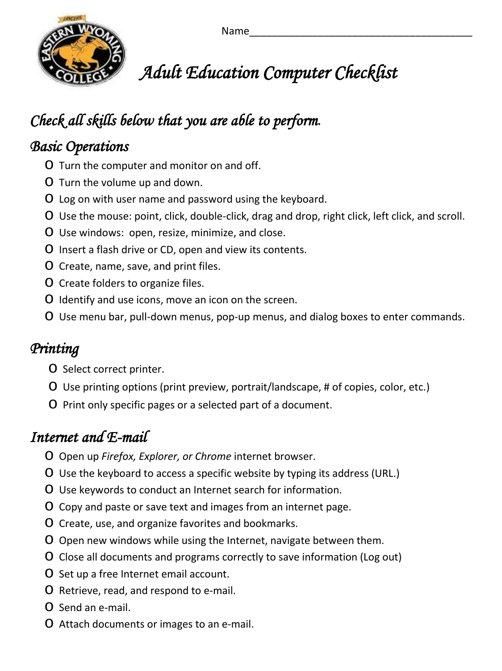

 *Adult Education Computer Checklist* 

# *Check all skills below that you are able to perform.*

#### *Basic Operations*

- o Turn the computer and monitor on and off.
- o Turn the volume up and down.
- o Log on with user name and password using the keyboard.
- o Use the mouse: point, click, double-click, drag and drop, right click, left click, and scroll.
- o Use windows: open, resize, minimize, and close.
- o Insert a flash drive or CD, open and view its contents.
- o Create, name, save, and print files.
- o Create folders to organize files.
- o Identify and use icons, move an icon on the screen.
- o Use menu bar, pull-down menus, pop-up menus, and dialog boxes to enter commands.

## *Printing*

- o Select correct printer.
- o Use printing options (print preview, portrait/landscape, # of copies, color, etc.)
- o Print only specific pages or a selected part of a document.

## *Internet and E-mail*

- o Open up *Firefox, Explorer, or Chrome* internet browser.
- o Use the keyboard to access a specific website by typing its address (URL.)
- o Use keywords to conduct an Internet search for information.
- o Copy and paste or save text and images from an internet page.
- o Create, use, and organize favorites and bookmarks.
- o Open new windows while using the Internet, navigate between them.
- o Close all documents and programs correctly to save information (Log out)
- o Set up a free Internet email account.
- o Retrieve, read, and respond to e-mail.
- o Send an e-mail.
- o Attach documents or images to an e-mail.